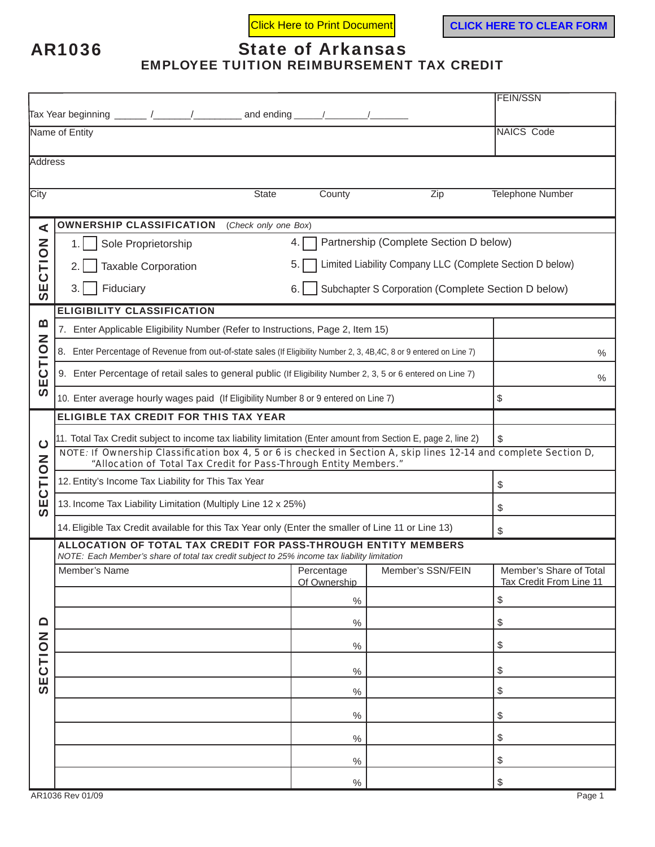AR1036

## State of Arkansas

EMPLOYEE TUITION REIMBURSEMENT TAX CREDIT

|                                                  |                                                                                                                                                                                        | <b>FEIN/SSN</b>                                                |                   |                                           |  |  |  |  |  |
|--------------------------------------------------|----------------------------------------------------------------------------------------------------------------------------------------------------------------------------------------|----------------------------------------------------------------|-------------------|-------------------------------------------|--|--|--|--|--|
|                                                  |                                                                                                                                                                                        |                                                                |                   |                                           |  |  |  |  |  |
|                                                  | Name of Entity                                                                                                                                                                         | <b>NAICS Code</b>                                              |                   |                                           |  |  |  |  |  |
|                                                  |                                                                                                                                                                                        |                                                                |                   |                                           |  |  |  |  |  |
| <b>Address</b>                                   |                                                                                                                                                                                        |                                                                |                   |                                           |  |  |  |  |  |
| City                                             | <b>State</b>                                                                                                                                                                           | County                                                         | Zip               | <b>Telephone Number</b>                   |  |  |  |  |  |
|                                                  |                                                                                                                                                                                        |                                                                |                   |                                           |  |  |  |  |  |
| ⋖                                                | <b>OWNERSHIP CLASSIFICATION</b><br>(Check only one Box)                                                                                                                                |                                                                |                   |                                           |  |  |  |  |  |
|                                                  | Partnership (Complete Section D below)<br>Sole Proprietorship<br>4.<br>1.                                                                                                              |                                                                |                   |                                           |  |  |  |  |  |
|                                                  | <b>Taxable Corporation</b><br>2.                                                                                                                                                       | Limited Liability Company LLC (Complete Section D below)<br>5. |                   |                                           |  |  |  |  |  |
| SECTION                                          | 3.<br>Fiduciary<br>6.1                                                                                                                                                                 | Subchapter S Corporation (Complete Section D below)            |                   |                                           |  |  |  |  |  |
|                                                  | <b>ELIGIBILITY CLASSIFICATION</b>                                                                                                                                                      |                                                                |                   |                                           |  |  |  |  |  |
| $\boldsymbol{\underline{\mathsf{m}}}$<br>SECTION | 7. Enter Applicable Eligibility Number (Refer to Instructions, Page 2, Item 15)                                                                                                        |                                                                |                   |                                           |  |  |  |  |  |
|                                                  | Enter Percentage of Revenue from out-of-state sales (If Eligibility Number 2, 3, 4B,4C, 8 or 9 entered on Line 7)<br>8.                                                                | $\%$                                                           |                   |                                           |  |  |  |  |  |
|                                                  | 9. Enter Percentage of retail sales to general public (If Eligibility Number 2, 3, 5 or 6 entered on Line 7)                                                                           | $\%$                                                           |                   |                                           |  |  |  |  |  |
|                                                  | 10. Enter average hourly wages paid (If Eligibility Number 8 or 9 entered on Line 7)                                                                                                   | \$                                                             |                   |                                           |  |  |  |  |  |
| $\mathbf C$<br>SECTION                           | <b>ELIGIBLE TAX CREDIT FOR THIS TAX YEAR</b>                                                                                                                                           |                                                                |                   |                                           |  |  |  |  |  |
|                                                  | 11. Total Tax Credit subject to income tax liability limitation (Enter amount from Section E, page 2, line 2)                                                                          | \$                                                             |                   |                                           |  |  |  |  |  |
|                                                  | NOTE: If Ownership Classification box 4, 5 or 6 is checked in Section A, skip lines 12-14 and complete Section D,<br>"Allocation of Total Tax Credit for Pass-Through Entity Members." |                                                                |                   |                                           |  |  |  |  |  |
|                                                  | 12. Entity's Income Tax Liability for This Tax Year                                                                                                                                    | \$                                                             |                   |                                           |  |  |  |  |  |
|                                                  | 13. Income Tax Liability Limitation (Multiply Line 12 x 25%)                                                                                                                           | \$                                                             |                   |                                           |  |  |  |  |  |
|                                                  | 14. Eligible Tax Credit available for this Tax Year only (Enter the smaller of Line 11 or Line 13)                                                                                     | \$                                                             |                   |                                           |  |  |  |  |  |
|                                                  | ALLOCATION OF TOTAL TAX CREDIT FOR PASS-THROUGH ENTITY MEMBERS                                                                                                                         |                                                                |                   |                                           |  |  |  |  |  |
| $\Omega$<br>SECTION                              | NOTE: Each Member's share of total tax credit subject to 25% income tax liability limitation<br>Member's Name                                                                          | Percentage                                                     | Member's SSN/FEIN | Member's Share of Total                   |  |  |  |  |  |
|                                                  |                                                                                                                                                                                        | Of Ownership                                                   |                   | Tax Credit From Line 11                   |  |  |  |  |  |
|                                                  |                                                                                                                                                                                        | $\%$                                                           |                   | $\, \, \raisebox{12pt}{$\scriptstyle \$}$ |  |  |  |  |  |
|                                                  |                                                                                                                                                                                        | $\%$                                                           |                   | \$                                        |  |  |  |  |  |
|                                                  |                                                                                                                                                                                        | $\%$                                                           |                   | \$                                        |  |  |  |  |  |
|                                                  |                                                                                                                                                                                        | $\%$                                                           |                   | \$                                        |  |  |  |  |  |
|                                                  |                                                                                                                                                                                        | $\%$                                                           |                   | \$                                        |  |  |  |  |  |
|                                                  |                                                                                                                                                                                        | $\%$                                                           |                   | \$                                        |  |  |  |  |  |
|                                                  |                                                                                                                                                                                        | $\%$                                                           |                   | \$                                        |  |  |  |  |  |
|                                                  |                                                                                                                                                                                        | $\%$                                                           |                   | \$                                        |  |  |  |  |  |
|                                                  |                                                                                                                                                                                        | $\%$                                                           |                   | $\, \, \raisebox{12pt}{$\scriptstyle \$}$ |  |  |  |  |  |